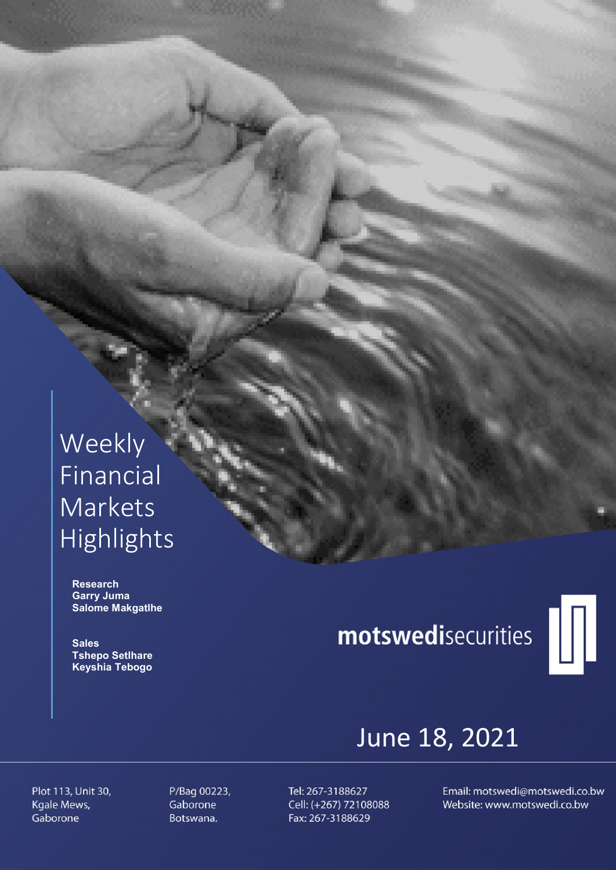# Weekly Financial Markets Highlights

 Research Garry Juma Salome Makgatlhe

**Sales**  Tshepo Setlhare Keyshia Tebogo

# motswedisecurities



# June 18, 2021

Plot 113, Unit 30, Kgale Mews, Gaborone

P/Bag 00223, Gaborone Botswana.

Tel: 267-3188627 Cell: (+267) 72108088 Fax: 267-3188629

Email: motswedi@motswedi.co.bw Website: www.motswedi.co.bw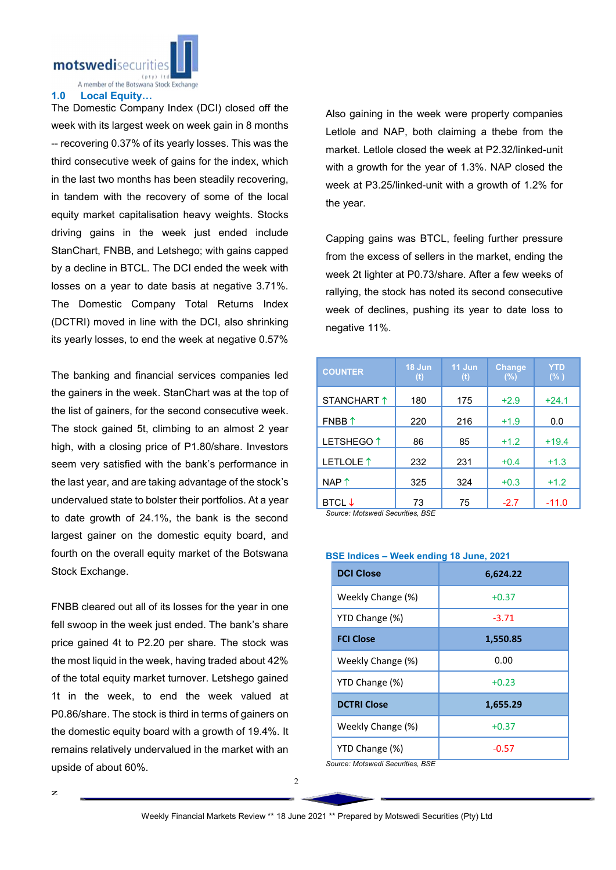motswedisecurit

A member of the Botswana Stock Exchange

#### 1.0 Local Equity…

The Domestic Company Index (DCI) closed off the week with its largest week on week gain in 8 months -- recovering 0.37% of its yearly losses. This was the third consecutive week of gains for the index, which in the last two months has been steadily recovering, in tandem with the recovery of some of the local equity market capitalisation heavy weights. Stocks driving gains in the week just ended include StanChart, FNBB, and Letshego; with gains capped by a decline in BTCL. The DCI ended the week with losses on a year to date basis at negative 3.71%. The Domestic Company Total Returns Index (DCTRI) moved in line with the DCI, also shrinking its yearly losses, to end the week at negative 0.57%

The banking and financial services companies led the gainers in the week. StanChart was at the top of the list of gainers, for the second consecutive week. The stock gained 5t, climbing to an almost 2 year high, with a closing price of P1.80/share. Investors seem very satisfied with the bank's performance in the last year, and are taking advantage of the stock's undervalued state to bolster their portfolios. At a year to date growth of 24.1%, the bank is the second largest gainer on the domestic equity board, and fourth on the overall equity market of the Botswana Stock Exchange.

FNBB cleared out all of its losses for the year in one fell swoop in the week just ended. The bank's share price gained 4t to P2.20 per share. The stock was the most liquid in the week, having traded about 42% of the total equity market turnover. Letshego gained 1t in the week, to end the week valued at P0.86/share. The stock is third in terms of gainers on the domestic equity board with a growth of 19.4%. It remains relatively undervalued in the market with an upside of about 60%.

Also gaining in the week were property companies Letlole and NAP, both claiming a thebe from the market. Letlole closed the week at P2.32/linked-unit with a growth for the year of 1.3%. NAP closed the week at P3.25/linked-unit with a growth of 1.2% for the year.

Capping gains was BTCL, feeling further pressure from the excess of sellers in the market, ending the week 2t lighter at P0.73/share. After a few weeks of rallying, the stock has noted its second consecutive week of declines, pushing its year to date loss to negative 11%.

| <b>COUNTER</b>                                               | 18 Jun<br>(t) | 11 Jun<br>(t) | <b>Change</b><br>(%) | <b>YTD</b><br>(% ) |
|--------------------------------------------------------------|---------------|---------------|----------------------|--------------------|
| STANCHART 1                                                  | 180           | 175           | $+2.9$               | $+24.1$            |
| $FNBB$ <sup><math>\uparrow</math></sup>                      | 220           | 216           | $+1.9$               | 0.0                |
| LETSHEGO <sup>1</sup>                                        | 86            | 85            | $+1.2$               | $+19.4$            |
| LETLOLE <sup>1</sup>                                         | 232           | 231           | $+0.4$               | $+1.3$             |
| $NAP$ $\uparrow$                                             | 325           | 324           | $+0.3$               | $+1.2$             |
| <b>BTCL</b> $\downarrow$<br>Cource: Motowedi Cecurities, RCE | 73            | 75            | $-2.7$               | $-11.0$            |

*Source: Motswedi Securities, BSE* 

## BSE Indices – Week ending 18 June, 2021

| <b>DCI Close</b>                                                                                                                                                              | 6,624.22 |  |  |
|-------------------------------------------------------------------------------------------------------------------------------------------------------------------------------|----------|--|--|
| Weekly Change (%)                                                                                                                                                             | $+0.37$  |  |  |
| YTD Change (%)                                                                                                                                                                | $-3.71$  |  |  |
| <b>FCI Close</b>                                                                                                                                                              | 1,550.85 |  |  |
| Weekly Change (%)                                                                                                                                                             | 0.00     |  |  |
| YTD Change (%)                                                                                                                                                                | $+0.23$  |  |  |
| <b>DCTRI Close</b>                                                                                                                                                            | 1,655.29 |  |  |
| Weekly Change (%)                                                                                                                                                             | $+0.37$  |  |  |
| YTD Change (%)<br>$\mathbf{1}$ and $\mathbf{1}$ and $\mathbf{1}$ and $\mathbf{1}$ and $\mathbf{1}$ and $\mathbf{1}$ and $\mathbf{1}$ and $\mathbf{1}$<br>$\sim$ $\sim$ $\sim$ | $-0.57$  |  |  |

*Source: Motswedi Securities, BSE*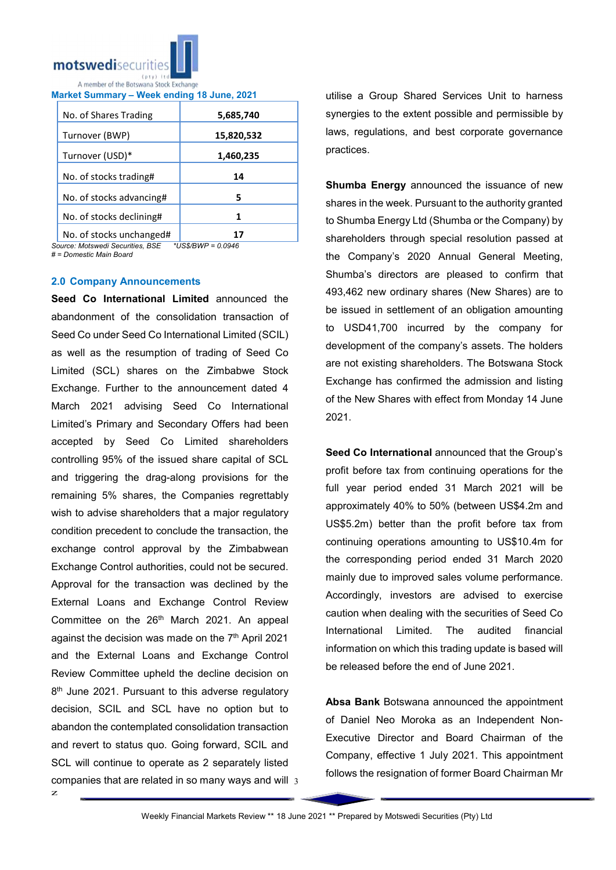

Market Summary – Week ending 18 June, 2021

| No. of Shares Trading    | 5,685,740  |  |
|--------------------------|------------|--|
| Turnover (BWP)           | 15,820,532 |  |
| Turnover (USD)*          | 1,460,235  |  |
| No. of stocks trading#   | 14         |  |
| No. of stocks advancing# | 5          |  |
| No. of stocks declining# |            |  |
| No of stocks unchanged#  |            |  |

No. of stocks unchanged# 1.<br>urce: Motswedi Securities. BSE \*US\$/BWP = 0.0946  $Source: Motswedi$  Securities, BSE

*# = Domestic Main Board*

#### 2.0 Company Announcements

companies that are related in so many ways and will 3 Seed Co International Limited announced the abandonment of the consolidation transaction of Seed Co under Seed Co International Limited (SCIL) as well as the resumption of trading of Seed Co Limited (SCL) shares on the Zimbabwe Stock Exchange. Further to the announcement dated 4 March 2021 advising Seed Co International Limited's Primary and Secondary Offers had been accepted by Seed Co Limited shareholders controlling 95% of the issued share capital of SCL and triggering the drag-along provisions for the remaining 5% shares, the Companies regrettably wish to advise shareholders that a major regulatory condition precedent to conclude the transaction, the exchange control approval by the Zimbabwean Exchange Control authorities, could not be secured. Approval for the transaction was declined by the External Loans and Exchange Control Review Committee on the 26<sup>th</sup> March 2021. An appeal against the decision was made on the 7<sup>th</sup> April 2021 and the External Loans and Exchange Control Review Committee upheld the decline decision on 8<sup>th</sup> June 2021. Pursuant to this adverse regulatory decision, SCIL and SCL have no option but to abandon the contemplated consolidation transaction and revert to status quo. Going forward, SCIL and SCL will continue to operate as 2 separately listed

utilise a Group Shared Services Unit to harness synergies to the extent possible and permissible by laws, regulations, and best corporate governance practices.

Shumba Energy announced the issuance of new shares in the week. Pursuant to the authority granted to Shumba Energy Ltd (Shumba or the Company) by shareholders through special resolution passed at the Company's 2020 Annual General Meeting, Shumba's directors are pleased to confirm that 493,462 new ordinary shares (New Shares) are to be issued in settlement of an obligation amounting to USD41,700 incurred by the company for development of the company's assets. The holders are not existing shareholders. The Botswana Stock Exchange has confirmed the admission and listing of the New Shares with effect from Monday 14 June 2021.

Seed Co International announced that the Group's profit before tax from continuing operations for the full year period ended 31 March 2021 will be approximately 40% to 50% (between US\$4.2m and US\$5.2m) better than the profit before tax from continuing operations amounting to US\$10.4m for the corresponding period ended 31 March 2020 mainly due to improved sales volume performance. Accordingly, investors are advised to exercise caution when dealing with the securities of Seed Co International Limited. The audited financial information on which this trading update is based will be released before the end of June 2021.

Absa Bank Botswana announced the appointment of Daniel Neo Moroka as an Independent Non-Executive Director and Board Chairman of the Company, effective 1 July 2021. This appointment follows the resignation of former Board Chairman Mr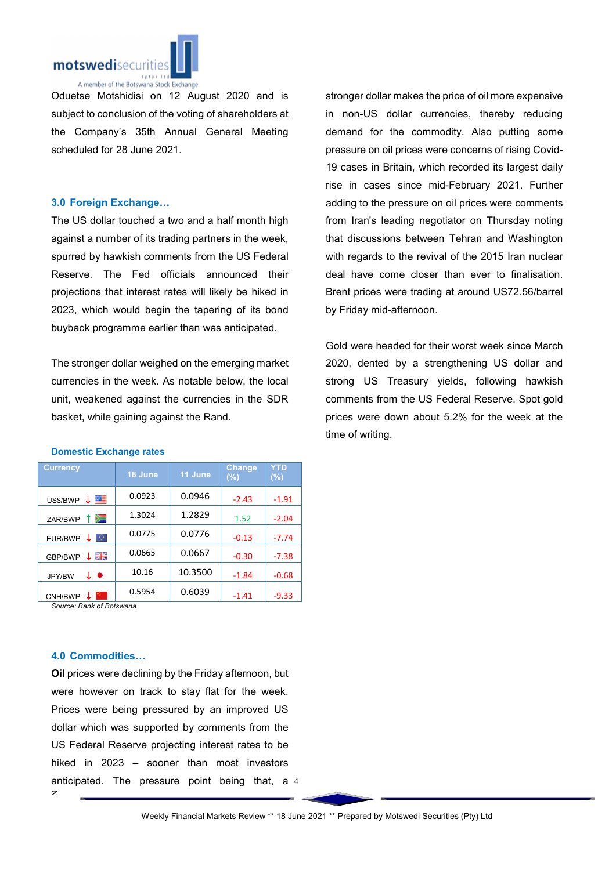

Oduetse Motshidisi on 12 August 2020 and is subject to conclusion of the voting of shareholders at the Company's 35th Annual General Meeting scheduled for 28 June 2021.

## 3.0 Foreign Exchange…

The US dollar touched a two and a half month high against a number of its trading partners in the week, spurred by hawkish comments from the US Federal Reserve. The Fed officials announced their projections that interest rates will likely be hiked in 2023, which would begin the tapering of its bond buyback programme earlier than was anticipated.

The stronger dollar weighed on the emerging market currencies in the week. As notable below, the local unit, weakened against the currencies in the SDR basket, while gaining against the Rand.

stronger dollar makes the price of oil more expensive in non-US dollar currencies, thereby reducing demand for the commodity. Also putting some pressure on oil prices were concerns of rising Covid-19 cases in Britain, which recorded its largest daily rise in cases since mid-February 2021. Further adding to the pressure on oil prices were comments from Iran's leading negotiator on Thursday noting that discussions between Tehran and Washington with regards to the revival of the 2015 Iran nuclear deal have come closer than ever to finalisation. Brent prices were trading at around US72.56/barrel by Friday mid-afternoon.

Gold were headed for their worst week since March 2020, dented by a strengthening US dollar and strong US Treasury yields, following hawkish comments from the US Federal Reserve. Spot gold prices were down about 5.2% for the week at the time of writing.

| <b>Currency</b>               | 18 June | 11 June | <b>Change</b><br>(%) | YTD<br>$(\%)$ |
|-------------------------------|---------|---------|----------------------|---------------|
| 垩<br>US\$/BWP<br>$\downarrow$ | 0.0923  | 0.0946  | $-2.43$              | $-1.91$       |
| ∕⊐<br>ZAR/BWP                 | 1.3024  | 1.2829  | 1.52                 | $-2.04$       |
| o<br>EUR/BWP                  | 0.0775  | 0.0776  | $-0.13$              | $-7.74$       |
| ↓ 哥島<br>GBP/BWP               | 0.0665  | 0.0667  | $-0.30$              | $-7.38$       |
| ↓●<br>JPY/BW                  | 10.16   | 10.3500 | $-1.84$              | $-0.68$       |
| CNH/BWP                       | 0.5954  | 0.6039  | $-1.41$              | $-9.33$       |

#### Domestic Exchange rates

*Source: Bank of Botswana*

### 4.0 Commodities…

z anticipated. The pressure point being that, a 4 Oil prices were declining by the Friday afternoon, but were however on track to stay flat for the week. Prices were being pressured by an improved US dollar which was supported by comments from the US Federal Reserve projecting interest rates to be hiked in 2023 – sooner than most investors